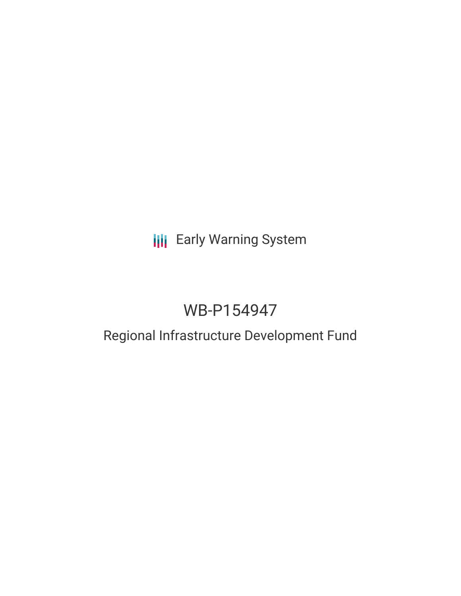## **III** Early Warning System

# WB-P154947

### Regional Infrastructure Development Fund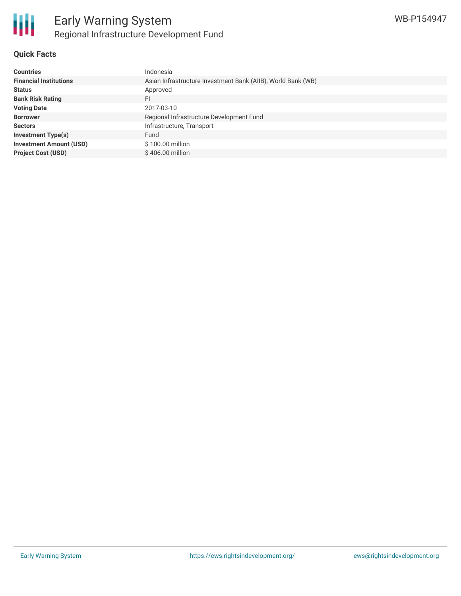

#### **Quick Facts**

| <b>Countries</b>               | Indonesia                                                    |
|--------------------------------|--------------------------------------------------------------|
| <b>Financial Institutions</b>  | Asian Infrastructure Investment Bank (AIIB), World Bank (WB) |
| <b>Status</b>                  | Approved                                                     |
| <b>Bank Risk Rating</b>        | FI                                                           |
| <b>Voting Date</b>             | 2017-03-10                                                   |
| <b>Borrower</b>                | Regional Infrastructure Development Fund                     |
| <b>Sectors</b>                 | Infrastructure, Transport                                    |
| <b>Investment Type(s)</b>      | Fund                                                         |
| <b>Investment Amount (USD)</b> | $$100.00$ million                                            |
| <b>Project Cost (USD)</b>      | \$406.00 million                                             |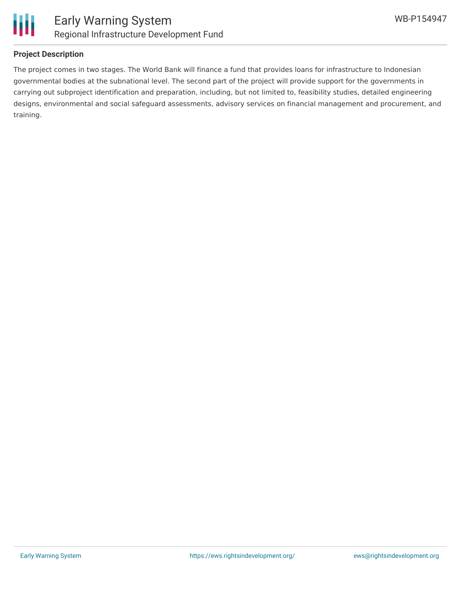

#### **Project Description**

The project comes in two stages. The World Bank will finance a fund that provides loans for infrastructure to Indonesian governmental bodies at the subnational level. The second part of the project will provide support for the governments in carrying out subproject identification and preparation, including, but not limited to, feasibility studies, detailed engineering designs, environmental and social safeguard assessments, advisory services on financial management and procurement, and training.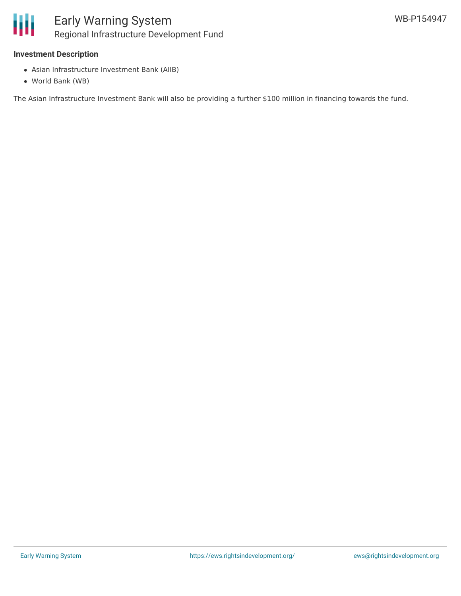

#### **Investment Description**

- Asian Infrastructure Investment Bank (AIIB)
- World Bank (WB)

The Asian Infrastructure Investment Bank will also be providing a further \$100 million in financing towards the fund.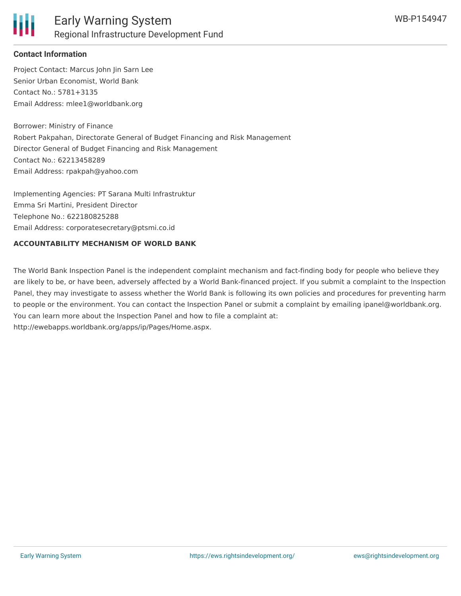

#### **Contact Information**

Project Contact: Marcus John Jin Sarn Lee Senior Urban Economist, World Bank Contact No.: 5781+3135 Email Address: mlee1@worldbank.org

Borrower: Ministry of Finance Robert Pakpahan, Directorate General of Budget Financing and Risk Management Director General of Budget Financing and Risk Management Contact No.: 62213458289 Email Address: rpakpah@yahoo.com

Implementing Agencies: PT Sarana Multi Infrastruktur Emma Sri Martini, President Director Telephone No.: 622180825288 Email Address: corporatesecretary@ptsmi.co.id

#### **ACCOUNTABILITY MECHANISM OF WORLD BANK**

The World Bank Inspection Panel is the independent complaint mechanism and fact-finding body for people who believe they are likely to be, or have been, adversely affected by a World Bank-financed project. If you submit a complaint to the Inspection Panel, they may investigate to assess whether the World Bank is following its own policies and procedures for preventing harm to people or the environment. You can contact the Inspection Panel or submit a complaint by emailing ipanel@worldbank.org. You can learn more about the Inspection Panel and how to file a complaint at: http://ewebapps.worldbank.org/apps/ip/Pages/Home.aspx.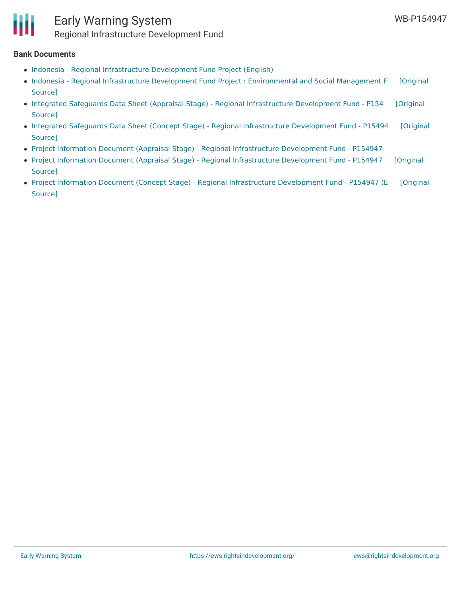

### Early Warning System Regional Infrastructure Development Fund

#### **Bank Documents**

- Indonesia Regional [Infrastructure](http://documents.worldbank.org/curated/en/297421489370420368/pdf/Indonesia-Regional-Infrastructure-PAD1579-02212017.pdf) Development Fund Project (English)
- Indonesia Regional Infrastructure Development Fund Project : [Environmental](http://documents.worldbank.org/curated/en/2016/07/26577949/indonesia-regional-infrastructure-development-fund-project-environmental-assessment) and Social Management F [Original Source]
- Integrated Safeguards Data Sheet (Appraisal Stage) Regional [Infrastructure](http://documents.worldbank.org/curated/en/2016/09/26788682/integrated-safeguards-data-sheet-appraisal-stage-regional-infrastructure-development-fund-p154947) Development Fund P154 [Original Source]
- Integrated Safeguards Data Sheet (Concept Stage) Regional [Infrastructure](http://documents.worldbank.org/curated/en/2016/02/25058060/integrated-safeguards-data-sheet-concept-stage-regional-infrastructure-development-fund-p154947) Development Fund P15494 [Original Source]
- Project Information Document (Appraisal Stage) Regional [Infrastructure](http://documents.worldbank.org/curated/en/105641474276980936/pdf/PID-Appraisal-Print-P154947-09-19-2016-1474276976060.pdf) Development Fund P154947
- Project Information Document (Appraisal Stage) Regional [Infrastructure](https://ewsdata.rightsindevelopment.org/files/documents/47/WB-P154947.pdf) Development Fund P154947 [Original Source]
- Project Information Document (Concept Stage) Regional [Infrastructure](https://ewsdata.rightsindevelopment.org/files/documents/47/WB-P154947_YC8iAjM.pdf) Development Fund P154947 (E [Original Source]